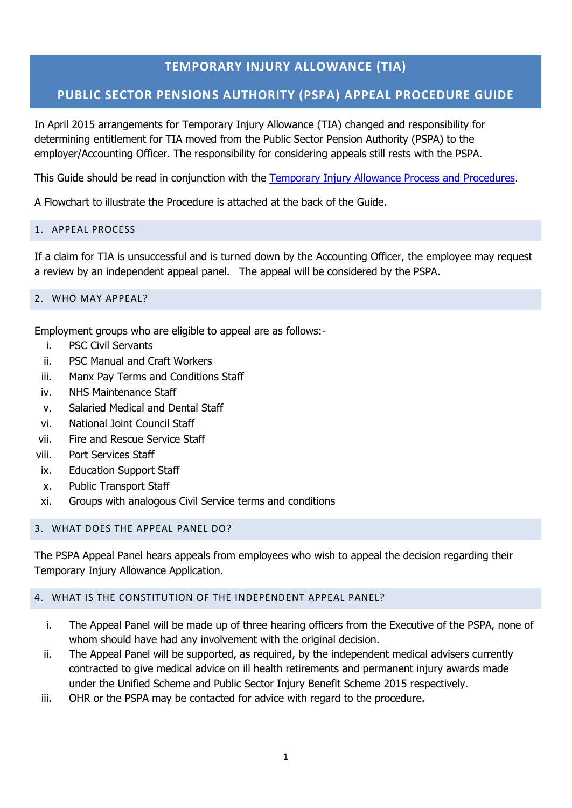# **TEMPORARY INJURY ALLOWANCE (TIA)**

# **PUBLIC SECTOR PENSIONS AUTHORITY (PSPA) APPEAL PROCEDURE GUIDE**

In April 2015 arrangements for Temporary Injury Allowance (TIA) changed and responsibility for determining entitlement for TIA moved from the Public Sector Pension Authority (PSPA) to the employer/Accounting Officer. The responsibility for considering appeals still rests with the PSPA.

This Guide should be read in conjunction with the [Temporary Injury Allowance Process and Procedures.](https://www.gov.im/lib/docs/hr/iompsc/tiaprocessandprocedurefinalvers.pdf)

A Flowchart to illustrate the Procedure is attached at the back of the Guide.

## 1. APPEAL PROCESS

If a claim for TIA is unsuccessful and is turned down by the Accounting Officer, the employee may request a review by an independent appeal panel. The appeal will be considered by the PSPA.

#### 2. WHO MAY APPEAL?

Employment groups who are eligible to appeal are as follows:-

- i. PSC Civil Servants
- ii. PSC Manual and Craft Workers
- iii. Manx Pay Terms and Conditions Staff
- iv. NHS Maintenance Staff
- v. Salaried Medical and Dental Staff
- vi. National Joint Council Staff
- vii. Fire and Rescue Service Staff
- viii. Port Services Staff
- ix. Education Support Staff
- x. Public Transport Staff
- xi. Groups with analogous Civil Service terms and conditions

#### 3. WHAT DOES THE APPEAL PANEL DO?

The PSPA Appeal Panel hears appeals from employees who wish to appeal the decision regarding their Temporary Injury Allowance Application.

#### 4. WHAT IS THE CONSTITUTION OF THE INDEPENDENT APPEAL PANEL?

- i. The Appeal Panel will be made up of three hearing officers from the Executive of the PSPA, none of whom should have had any involvement with the original decision.
- ii. The Appeal Panel will be supported, as required, by the independent medical advisers currently contracted to give medical advice on ill health retirements and permanent injury awards made under the Unified Scheme and Public Sector Injury Benefit Scheme 2015 respectively.
- iii. OHR or the PSPA may be contacted for advice with regard to the procedure.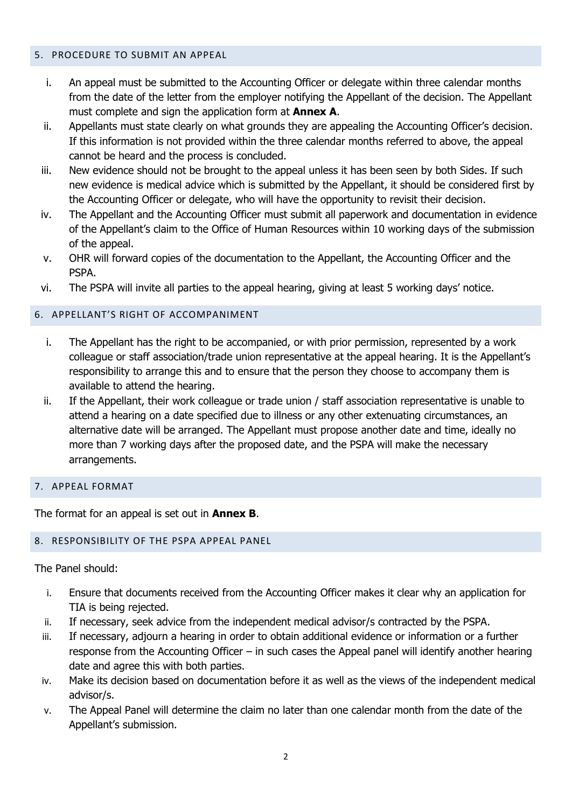#### 5. PROCEDURE TO SUBMIT AN APPEAL

- i. An appeal must be submitted to the Accounting Officer or delegate within three calendar months from the date of the letter from the employer notifying the Appellant of the decision. The Appellant must complete and sign the application form at **Annex A**.
- ii. Appellants must state clearly on what grounds they are appealing the Accounting Officer's decision. If this information is not provided within the three calendar months referred to above, the appeal cannot be heard and the process is concluded.
- iii. New evidence should not be brought to the appeal unless it has been seen by both Sides. If such new evidence is medical advice which is submitted by the Appellant, it should be considered first by the Accounting Officer or delegate, who will have the opportunity to revisit their decision.
- iv. The Appellant and the Accounting Officer must submit all paperwork and documentation in evidence of the Appellant's claim to the Office of Human Resources within 10 working days of the submission of the appeal.
- v. OHR will forward copies of the documentation to the Appellant, the Accounting Officer and the PSPA.
- vi. The PSPA will invite all parties to the appeal hearing, giving at least 5 working days' notice.

## 6. APPELLANT'S RIGHT OF ACCOMPANIMENT

- i. The Appellant has the right to be accompanied, or with prior permission, represented by a work colleague or staff association/trade union representative at the appeal hearing. It is the Appellant's responsibility to arrange this and to ensure that the person they choose to accompany them is available to attend the hearing.
- ii. If the Appellant, their work colleague or trade union / staff association representative is unable to attend a hearing on a date specified due to illness or any other extenuating circumstances, an alternative date will be arranged. The Appellant must propose another date and time, ideally no more than 7 working days after the proposed date, and the PSPA will make the necessary arrangements.

## 7. APPEAL FORMAT

The format for an appeal is set out in **Annex B**.

#### 8. RESPONSIBILITY OF THE PSPA APPEAL PANEL

The Panel should:

- i. Ensure that documents received from the Accounting Officer makes it clear why an application for TIA is being rejected.
- ii. If necessary, seek advice from the independent medical advisor/s contracted by the PSPA.
- iii. If necessary, adjourn a hearing in order to obtain additional evidence or information or a further response from the Accounting Officer – in such cases the Appeal panel will identify another hearing date and agree this with both parties.
- iv. Make its decision based on documentation before it as well as the views of the independent medical advisor/s.
- v. The Appeal Panel will determine the claim no later than one calendar month from the date of the Appellant's submission.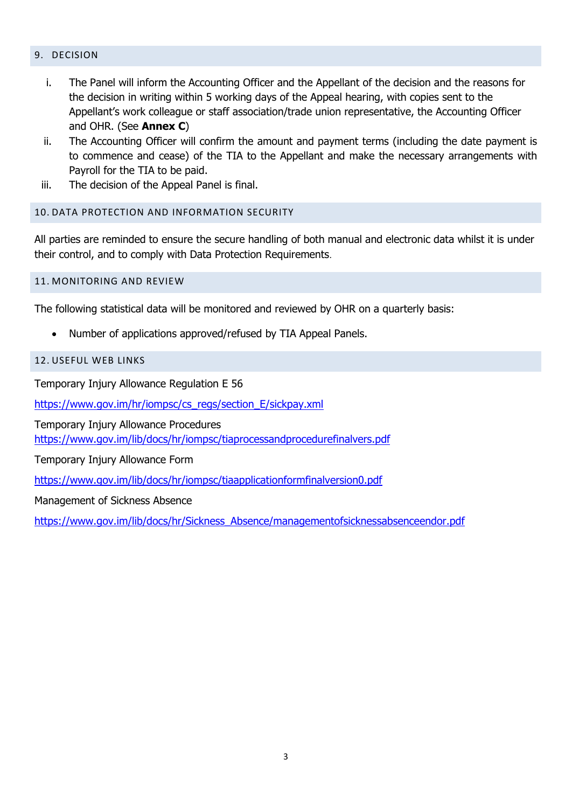#### 9. DECISION

- i. The Panel will inform the Accounting Officer and the Appellant of the decision and the reasons for the decision in writing within 5 working days of the Appeal hearing, with copies sent to the Appellant's work colleague or staff association/trade union representative, the Accounting Officer and OHR. (See **Annex C**)
- ii. The Accounting Officer will confirm the amount and payment terms (including the date payment is to commence and cease) of the TIA to the Appellant and make the necessary arrangements with Payroll for the TIA to be paid.
- iii. The decision of the Appeal Panel is final.

### 10. DATA PROTECTION AND INFORMATION SECURITY

All parties are reminded to ensure the secure handling of both manual and electronic data whilst it is under their control, and to comply with Data Protection Requirements.

#### 11. MONITORING AND REVIEW

The following statistical data will be monitored and reviewed by OHR on a quarterly basis:

• Number of applications approved/refused by TIA Appeal Panels.

#### 12. USEFUL WEB LINKS

Temporary Injury Allowance Regulation E 56

[https://www.gov.im/hr/iompsc/cs\\_regs/section\\_E/sickpay.xml](https://www.gov.im/hr/iompsc/cs_regs/section_E/sickpay.xml)

Temporary Injury Allowance Procedures <https://www.gov.im/lib/docs/hr/iompsc/tiaprocessandprocedurefinalvers.pdf>

Temporary Injury Allowance Form

<https://www.gov.im/lib/docs/hr/iompsc/tiaapplicationformfinalversion0.pdf>

Management of Sickness Absence

[https://www.gov.im/lib/docs/hr/Sickness\\_Absence/managementofsicknessabsenceendor.pdf](https://www.gov.im/lib/docs/hr/Sickness_Absence/managementofsicknessabsenceendor.pdf)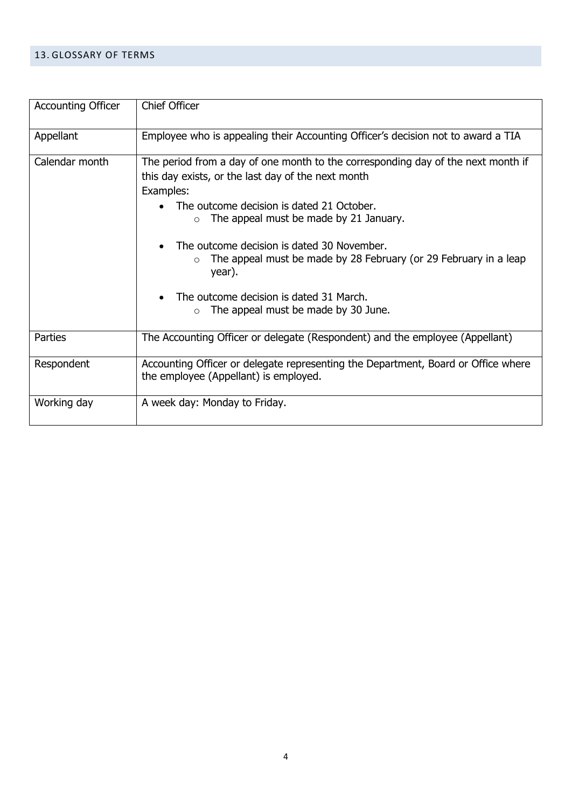#### 13. GLOSSARY OF TERMS

| <b>Accounting Officer</b> | <b>Chief Officer</b>                                                                                                                                                                                                                                                                                                                                                                                                                                                                                                 |
|---------------------------|----------------------------------------------------------------------------------------------------------------------------------------------------------------------------------------------------------------------------------------------------------------------------------------------------------------------------------------------------------------------------------------------------------------------------------------------------------------------------------------------------------------------|
| Appellant                 | Employee who is appealing their Accounting Officer's decision not to award a TIA                                                                                                                                                                                                                                                                                                                                                                                                                                     |
| Calendar month            | The period from a day of one month to the corresponding day of the next month if<br>this day exists, or the last day of the next month<br>Examples:<br>The outcome decision is dated 21 October.<br>$\bullet$<br>The appeal must be made by 21 January.<br>$\circ$<br>The outcome decision is dated 30 November.<br>$\bullet$<br>The appeal must be made by 28 February (or 29 February in a leap<br>$\circ$<br>year).<br>The outcome decision is dated 31 March.<br>The appeal must be made by 30 June.<br>$\Omega$ |
| Parties                   | The Accounting Officer or delegate (Respondent) and the employee (Appellant)                                                                                                                                                                                                                                                                                                                                                                                                                                         |
| Respondent                | Accounting Officer or delegate representing the Department, Board or Office where<br>the employee (Appellant) is employed.                                                                                                                                                                                                                                                                                                                                                                                           |
| Working day               | A week day: Monday to Friday.                                                                                                                                                                                                                                                                                                                                                                                                                                                                                        |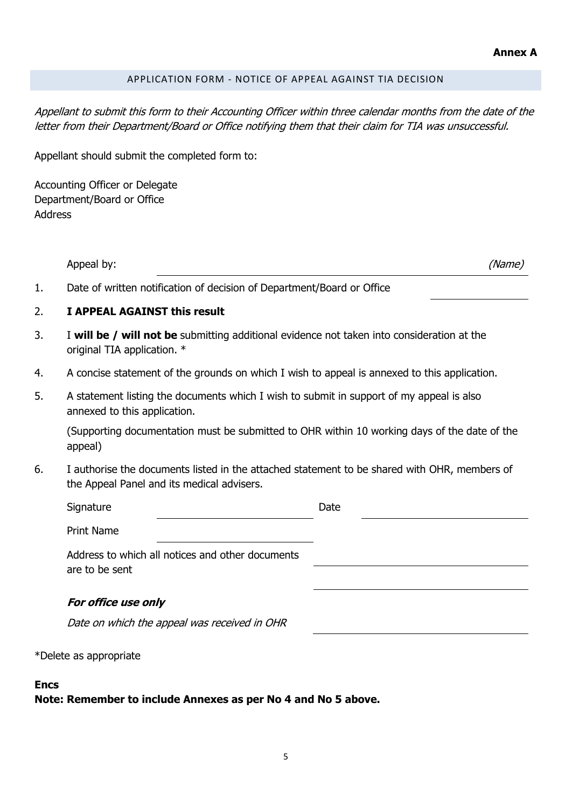## APPLICATION FORM - NOTICE OF APPEAL AGAINST TIA DECISION

Appellant to submit this form to their Accounting Officer within three calendar months from the date of the letter from their Department/Board or Office notifying them that their claim for TIA was unsuccessful.

Appellant should submit the completed form to:

Accounting Officer or Delegate Department/Board or Office Address

|    | Appeal by:                                                                                                                                 | (Name) |
|----|--------------------------------------------------------------------------------------------------------------------------------------------|--------|
| 1. | Date of written notification of decision of Department/Board or Office                                                                     |        |
| 2. | I APPEAL AGAINST this result                                                                                                               |        |
| 3. | I will be / will not be submitting additional evidence not taken into consideration at the<br>original TIA application. *                  |        |
| 4. | A concise statement of the grounds on which I wish to appeal is annexed to this application.                                               |        |
| 5. | A statement listing the documents which I wish to submit in support of my appeal is also<br>annexed to this application.                   |        |
|    | (Supporting documentation must be submitted to OHR within 10 working days of the date of the<br>appeal)                                    |        |
| 6. | I authorise the documents listed in the attached statement to be shared with OHR, members of<br>the Appeal Panel and its medical advisers. |        |
|    | Signature                                                                                                                                  | Date   |
|    | <b>Print Name</b>                                                                                                                          |        |
|    | Address to which all notices and other documents<br>are to be sent                                                                         |        |
|    | For office use only                                                                                                                        |        |
|    | Date on which the appeal was received in OHR                                                                                               |        |
|    | *Delete as appropriate                                                                                                                     |        |

#### **Encs**

**Note: Remember to include Annexes as per No 4 and No 5 above.**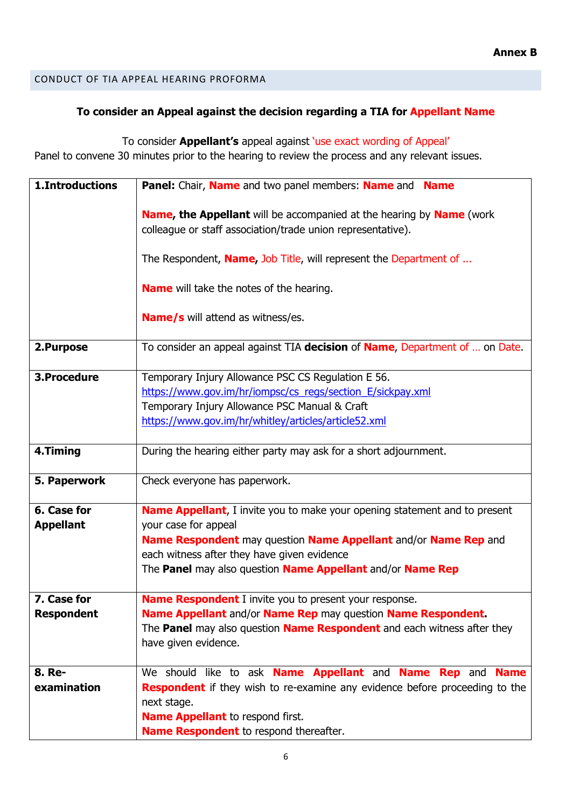## CONDUCT OF TIA APPEAL HEARING PROFORMA

# **To consider an Appeal against the decision regarding a TIA for Appellant Name**

To consider **Appellant's** appeal against 'use exact wording of Appeal'

Panel to convene 30 minutes prior to the hearing to review the process and any relevant issues.

| 1. Introductions                 | Panel: Chair, Name and two panel members: Name and Name                                                                                                                                                                                                                                    |
|----------------------------------|--------------------------------------------------------------------------------------------------------------------------------------------------------------------------------------------------------------------------------------------------------------------------------------------|
|                                  | <b>Name, the Appellant</b> will be accompanied at the hearing by <b>Name</b> (work<br>colleague or staff association/trade union representative).                                                                                                                                          |
|                                  | The Respondent, <b>Name</b> , Job Title, will represent the Department of                                                                                                                                                                                                                  |
|                                  | <b>Name</b> will take the notes of the hearing.                                                                                                                                                                                                                                            |
|                                  | <b>Name/s</b> will attend as witness/es.                                                                                                                                                                                                                                                   |
| 2.Purpose                        | To consider an appeal against TIA decision of Name, Department of  on Date.                                                                                                                                                                                                                |
| 3.Procedure                      | Temporary Injury Allowance PSC CS Regulation E 56.<br>https://www.gov.im/hr/iompsc/cs_regs/section_E/sickpay.xml<br>Temporary Injury Allowance PSC Manual & Craft<br>https://www.gov.im/hr/whitley/articles/article52.xml                                                                  |
| 4.Timing                         | During the hearing either party may ask for a short adjournment.                                                                                                                                                                                                                           |
| 5. Paperwork                     | Check everyone has paperwork.                                                                                                                                                                                                                                                              |
| 6. Case for<br><b>Appellant</b>  | <b>Name Appellant</b> , I invite you to make your opening statement and to present<br>your case for appeal<br>Name Respondent may question Name Appellant and/or Name Rep and<br>each witness after they have given evidence<br>The Panel may also question Name Appellant and/or Name Rep |
| 7. Case for<br><b>Respondent</b> | <b>Name Respondent</b> I invite you to present your response.<br>Name Appellant and/or Name Rep may question Name Respondent.<br>The Panel may also question Name Respondent and each witness after they<br>have given evidence.                                                           |
| 8. Re-<br>examination            | We should like to ask <b>Name Appellant</b> and <b>Name Rep</b> and <b>Name</b><br><b>Respondent</b> if they wish to re-examine any evidence before proceeding to the<br>next stage.<br><b>Name Appellant</b> to respond first.<br>Name Respondent to respond thereafter.                  |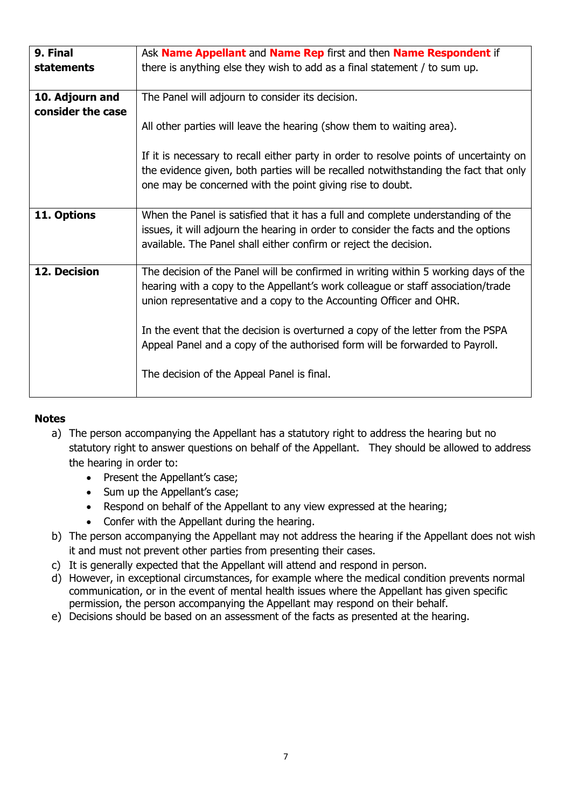| 9. Final                             | Ask <b>Name Appellant</b> and <b>Name Rep</b> first and then <b>Name Respondent</b> if                                                                                                                                                                                                                                                                                                                                                                         |
|--------------------------------------|----------------------------------------------------------------------------------------------------------------------------------------------------------------------------------------------------------------------------------------------------------------------------------------------------------------------------------------------------------------------------------------------------------------------------------------------------------------|
| statements                           | there is anything else they wish to add as a final statement / to sum up.                                                                                                                                                                                                                                                                                                                                                                                      |
| 10. Adjourn and<br>consider the case | The Panel will adjourn to consider its decision.                                                                                                                                                                                                                                                                                                                                                                                                               |
|                                      | All other parties will leave the hearing (show them to waiting area).                                                                                                                                                                                                                                                                                                                                                                                          |
|                                      | If it is necessary to recall either party in order to resolve points of uncertainty on<br>the evidence given, both parties will be recalled notwithstanding the fact that only<br>one may be concerned with the point giving rise to doubt.                                                                                                                                                                                                                    |
| 11. Options                          | When the Panel is satisfied that it has a full and complete understanding of the<br>issues, it will adjourn the hearing in order to consider the facts and the options<br>available. The Panel shall either confirm or reject the decision.                                                                                                                                                                                                                    |
| 12. Decision                         | The decision of the Panel will be confirmed in writing within 5 working days of the<br>hearing with a copy to the Appellant's work colleague or staff association/trade<br>union representative and a copy to the Accounting Officer and OHR.<br>In the event that the decision is overturned a copy of the letter from the PSPA<br>Appeal Panel and a copy of the authorised form will be forwarded to Payroll.<br>The decision of the Appeal Panel is final. |

## **Notes**

- a) The person accompanying the Appellant has a statutory right to address the hearing but no statutory right to answer questions on behalf of the Appellant. They should be allowed to address the hearing in order to:
	- Present the Appellant's case;
	- Sum up the Appellant's case;
	- Respond on behalf of the Appellant to any view expressed at the hearing;
	- Confer with the Appellant during the hearing.
- b) The person accompanying the Appellant may not address the hearing if the Appellant does not wish it and must not prevent other parties from presenting their cases.
- c) It is generally expected that the Appellant will attend and respond in person.
- d) However, in exceptional circumstances, for example where the medical condition prevents normal communication, or in the event of mental health issues where the Appellant has given specific permission, the person accompanying the Appellant may respond on their behalf.
- e) Decisions should be based on an assessment of the facts as presented at the hearing.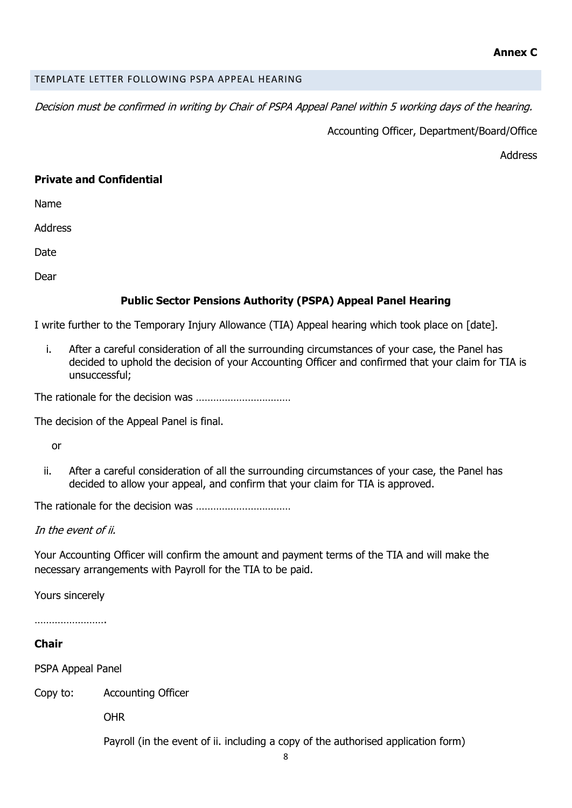## TEMPLATE LETTER FOLLOWING PSPA APPEAL HEARING

Decision must be confirmed in writing by Chair of PSPA Appeal Panel within 5 working days of the hearing.

Accounting Officer, Department/Board/Office

Address

## **Private and Confidential**

Name

Address

Date

Dear

# **Public Sector Pensions Authority (PSPA) Appeal Panel Hearing**

I write further to the Temporary Injury Allowance (TIA) Appeal hearing which took place on [date].

i. After a careful consideration of all the surrounding circumstances of your case, the Panel has decided to uphold the decision of your Accounting Officer and confirmed that your claim for TIA is unsuccessful;

The rationale for the decision was ……………………………

The decision of the Appeal Panel is final.

or

ii. After a careful consideration of all the surrounding circumstances of your case, the Panel has decided to allow your appeal, and confirm that your claim for TIA is approved.

The rationale for the decision was ……………………………

In the event of ii.

Your Accounting Officer will confirm the amount and payment terms of the TIA and will make the necessary arrangements with Payroll for the TIA to be paid.

Yours sincerely

…………………….

## **Chair**

PSPA Appeal Panel

Copy to: Accounting Officer

OHR

Payroll (in the event of ii. including a copy of the authorised application form)